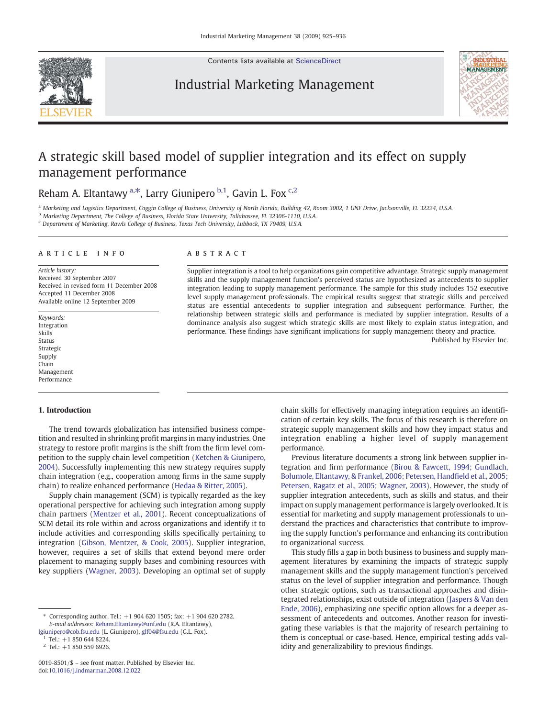Contents lists available at [ScienceDirect](http://www.sciencedirect.com/science/journal/00198501)

# Industrial Marketing Management



# A strategic skill based model of supplier integration and its effect on supply management performance

## Reham A. Eltantawy <sup>a,\*</sup>, Larry Giunipero <sup>b,1</sup>, Gavin L. Fox <sup>c,2</sup>

<sup>a</sup> Marketing and Logistics Department, Coggin College of Business, University of North Florida, Building 42, Room 3002, 1 UNF Drive, Jacksonville, FL 32224, U.S.A.

<sup>b</sup> Marketing Department, The College of Business, Florida State University, Tallahassee, FL 32306-1110, U.S.A.

<sup>c</sup> Department of Marketing, Rawls College of Business, Texas Tech University, Lubbock, TX 79409, U.S.A.

### article info abstract

Article history: Received 30 September 2007 Received in revised form 11 December 2008 Accepted 11 December 2008 Available online 12 September 2009

Keywords: Integration Skills Status Strategic Supply Chain Management Performance

### 1. Introduction

The trend towards globalization has intensified business competition and resulted in shrinking profit margins in many industries. One strategy to restore profit margins is the shift from the firm level competition to the supply chain level competition ([Ketchen & Giunipero,](#page--1-0) [2004\)](#page--1-0). Successfully implementing this new strategy requires supply chain integration (e.g., cooperation among firms in the same supply chain) to realize enhanced performance [\(Hedaa & Ritter, 2005](#page--1-0)).

Supply chain management (SCM) is typically regarded as the key operational perspective for achieving such integration among supply chain partners ([Mentzer et al., 2001\)](#page--1-0). Recent conceptualizations of SCM detail its role within and across organizations and identify it to include activities and corresponding skills specifically pertaining to integration [\(Gibson, Mentzer, & Cook, 2005](#page--1-0)). Supplier integration, however, requires a set of skills that extend beyond mere order placement to managing supply bases and combining resources with key suppliers [\(Wagner, 2003](#page--1-0)). Developing an optimal set of supply

Supplier integration is a tool to help organizations gain competitive advantage. Strategic supply management skills and the supply management function's perceived status are hypothesized as antecedents to supplier integration leading to supply management performance. The sample for this study includes 152 executive level supply management professionals. The empirical results suggest that strategic skills and perceived status are essential antecedents to supplier integration and subsequent performance. Further, the relationship between strategic skills and performance is mediated by supplier integration. Results of a dominance analysis also suggest which strategic skills are most likely to explain status integration, and performance. These findings have significant implications for supply management theory and practice. Published by Elsevier Inc.

> chain skills for effectively managing integration requires an identification of certain key skills. The focus of this research is therefore on strategic supply management skills and how they impact status and integration enabling a higher level of supply management performance.

> Previous literature documents a strong link between supplier integration and firm performance ([Birou & Fawcett, 1994; Gundlach,](#page--1-0) [Bolumole, Eltantawy, & Frankel, 2006; Petersen, Hand](#page--1-0)field et al., 2005; [Petersen, Ragatz et al., 2005; Wagner, 2003](#page--1-0)). However, the study of supplier integration antecedents, such as skills and status, and their impact on supply management performance is largely overlooked. It is essential for marketing and supply management professionals to understand the practices and characteristics that contribute to improving the supply function's performance and enhancing its contribution to organizational success.

> This study fills a gap in both business to business and supply management literatures by examining the impacts of strategic supply management skills and the supply management function's perceived status on the level of supplier integration and performance. Though other strategic options, such as transactional approaches and disintegrated relationships, exist outside of integration ([Jaspers & Van den](#page--1-0) [Ende, 2006](#page--1-0)), emphasizing one specific option allows for a deeper assessment of antecedents and outcomes. Another reason for investigating these variables is that the majority of research pertaining to them is conceptual or case-based. Hence, empirical testing adds validity and generalizability to previous findings.

<sup>⁎</sup> Corresponding author. Tel.: +1 904 620 1505; fax: +1 904 620 2782. E-mail addresses: [Reham.Eltantawy@unf.edu](mailto:Reham.Eltantawy@unf.edu) (R.A. Eltantawy),

[lgiunipero@cob.fsu.edu](mailto:lgiunipero@cob.fsu.edu) (L. Giunipero), [glf04@fsu.edu](mailto:glf04@fsu.edu) (G.L. Fox).

 $Tel.: +18506448224.$ 

 $2$  Tel.: +1 850 559 6926.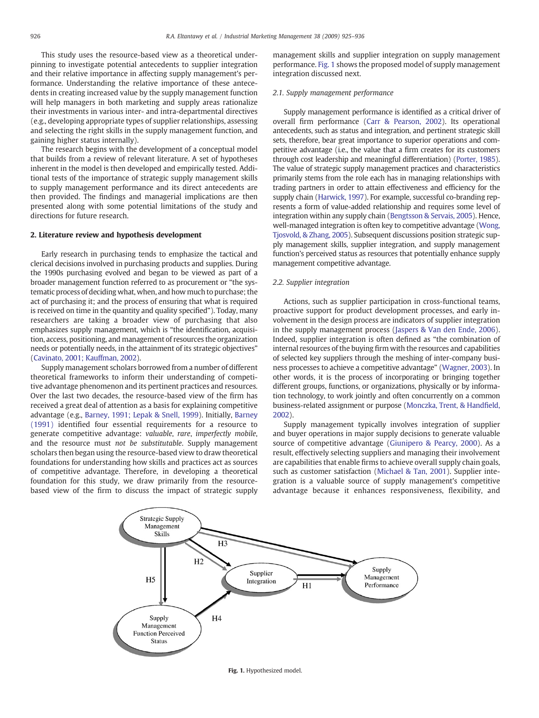This study uses the resource-based view as a theoretical underpinning to investigate potential antecedents to supplier integration and their relative importance in affecting supply management's performance. Understanding the relative importance of these antecedents in creating increased value by the supply management function will help managers in both marketing and supply areas rationalize their investments in various inter- and intra-departmental directives (e.g., developing appropriate types of supplier relationships, assessing and selecting the right skills in the supply management function, and gaining higher status internally).

The research begins with the development of a conceptual model that builds from a review of relevant literature. A set of hypotheses inherent in the model is then developed and empirically tested. Additional tests of the importance of strategic supply management skills to supply management performance and its direct antecedents are then provided. The findings and managerial implications are then presented along with some potential limitations of the study and directions for future research.

### 2. Literature review and hypothesis development

Early research in purchasing tends to emphasize the tactical and clerical decisions involved in purchasing products and supplies. During the 1990s purchasing evolved and began to be viewed as part of a broader management function referred to as procurement or "the systematic process of deciding what, when, and how much to purchase; the act of purchasing it; and the process of ensuring that what is required is received on time in the quantity and quality specified"). Today, many researchers are taking a broader view of purchasing that also emphasizes supply management, which is "the identification, acquisition, access, positioning, and management of resources the organization needs or potentially needs, in the attainment of its strategic objectives" [\(Cavinato, 2001; Kauffman, 2002\)](#page--1-0).

Supply management scholars borrowed from a number of different theoretical frameworks to inform their understanding of competitive advantage phenomenon and its pertinent practices and resources. Over the last two decades, the resource-based view of the firm has received a great deal of attention as a basis for explaining competitive advantage (e.g., [Barney, 1991; Lepak & Snell, 1999](#page--1-0)). Initially, [Barney](#page--1-0) [\(1991\)](#page--1-0) identified four essential requirements for a resource to generate competitive advantage: valuable, rare, imperfectly mobile, and the resource must not be substitutable. Supply management scholars then began using the resource-based view to draw theoretical foundations for understanding how skills and practices act as sources of competitive advantage. Therefore, in developing a theoretical foundation for this study, we draw primarily from the resourcebased view of the firm to discuss the impact of strategic supply management skills and supplier integration on supply management performance. Fig. 1 shows the proposed model of supply management integration discussed next.

### 2.1. Supply management performance

Supply management performance is identified as a critical driver of overall firm performance [\(Carr & Pearson, 2002](#page--1-0)). Its operational antecedents, such as status and integration, and pertinent strategic skill sets, therefore, bear great importance to superior operations and competitive advantage (i.e., the value that a firm creates for its customers through cost leadership and meaningful differentiation) [\(Porter, 1985\)](#page--1-0). The value of strategic supply management practices and characteristics primarily stems from the role each has in managing relationships with trading partners in order to attain effectiveness and efficiency for the supply chain ([Harwick, 1997](#page--1-0)). For example, successful co-branding represents a form of value-added relationship and requires some level of integration within any supply chain [\(Bengtsson & Servais, 2005](#page--1-0)). Hence, well-managed integration is often key to competitive advantage ([Wong,](#page--1-0) [Tjosvold, & Zhang, 2005\)](#page--1-0). Subsequent discussions position strategic supply management skills, supplier integration, and supply management function's perceived status as resources that potentially enhance supply management competitive advantage.

### 2.2. Supplier integration

Actions, such as supplier participation in cross-functional teams, proactive support for product development processes, and early involvement in the design process are indicators of supplier integration in the supply management process [\(Jaspers & Van den Ende, 2006](#page--1-0)). Indeed, supplier integration is often defined as "the combination of internal resources of the buying firm with the resources and capabilities of selected key suppliers through the meshing of inter-company business processes to achieve a competitive advantage" ([Wagner, 2003\)](#page--1-0). In other words, it is the process of incorporating or bringing together different groups, functions, or organizations, physically or by information technology, to work jointly and often concurrently on a common business-related assignment or purpose [\(Monczka, Trent, & Hand](#page--1-0)field, [2002\)](#page--1-0).

Supply management typically involves integration of supplier and buyer operations in major supply decisions to generate valuable source of competitive advantage [\(Giunipero & Pearcy, 2000\)](#page--1-0). As a result, effectively selecting suppliers and managing their involvement are capabilities that enable firms to achieve overall supply chain goals, such as customer satisfaction ([Michael & Tan, 2001\)](#page--1-0). Supplier integration is a valuable source of supply management's competitive advantage because it enhances responsiveness, flexibility, and